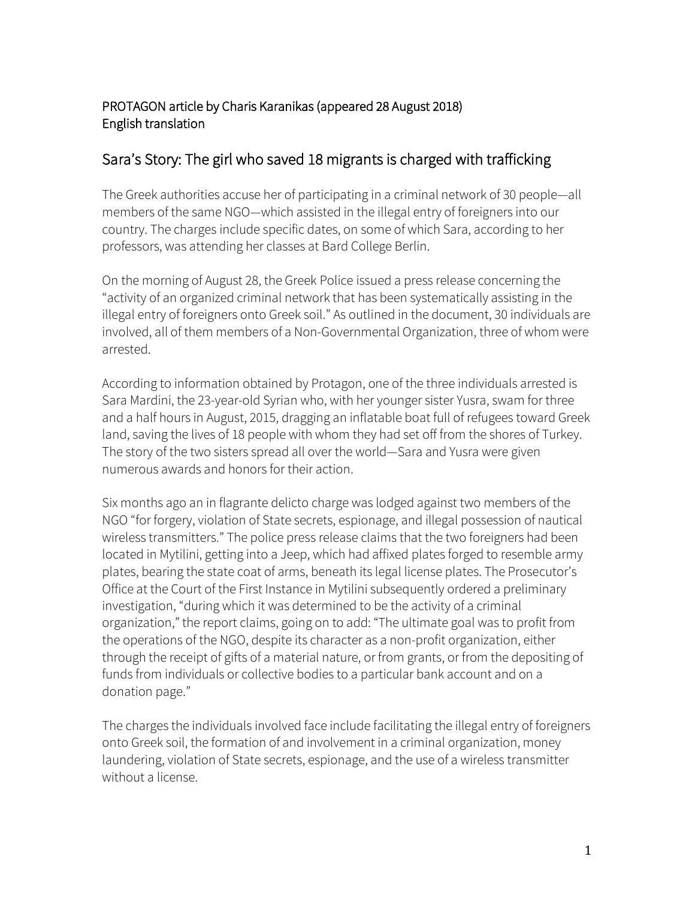## PROTAGON article by Charis Karanikas (appeared 28 August 2018) English translation

# Sara's Story: The girl who saved 18 migrants is charged with trafficking

The Greek authorities accuse her of participating in a criminal network of 30 people—all members of the same NGO—which assisted in the illegal entry of foreigners into our country. The charges include specific dates, on some of which Sara, according to her professors, was attending her classes at Bard College Berlin.

On the morning of August 28, the Greek Police issued a press release concerning the "activity of an organized criminal network that has been systematically assisting in the illegal entry of foreigners onto Greek soil." As outlined in the document, 30 individuals are involved, all of them members of a Non-Governmental Organization, three of whom were arrested.

According to information obtained by Protagon, one of the three individuals arrested is Sara Mardini, the 23-year-old Syrian who, with her younger sister Yusra, swam for three and a half hours in August, 2015, dragging an inflatable boat full of refugees toward Greek land, saving the lives of 18 people with whom they had set off from the shores of Turkey. The story of the two sisters spread all over the world—Sara and Yusra were given numerous awards and honors for their action.

Six months ago an in flagrante delicto charge was lodged against two members of the NGO "for forgery, violation of State secrets, espionage, and illegal possession of nautical wireless transmitters." The police press release claims that the two foreigners had been located in Mytilini, getting into a Jeep, which had affixed plates forged to resemble army plates, bearing the state coat of arms, beneath its legal license plates. The Prosecutor's Office at the Court of the First Instance in Mytilini subsequently ordered a preliminary investigation, "during which it was determined to be the activity of a criminal organization," the report claims, going on to add: "The ultimate goal was to profit from the operations of the NGO, despite its character as a non-profit organization, either through the receipt of gifts of a material nature, or from grants, or from the depositing of funds from individuals or collective bodies to a particular bank account and on a donation page."

The charges the individuals involved face include facilitating the illegal entry of foreigners onto Greek soil, the formation of and involvement in a criminal organization, money laundering, violation of State secrets, espionage, and the use of a wireless transmitter without a license.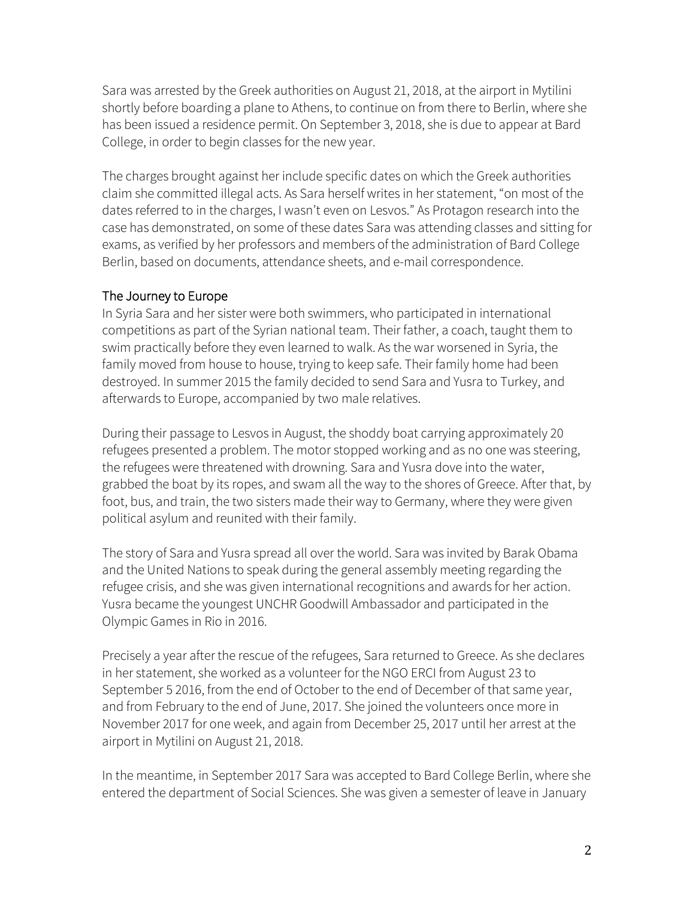Sara was arrested by the Greek authorities on August 21, 2018, at the airport in Mytilini shortly before boarding a plane to Athens, to continue on from there to Berlin, where she has been issued a residence permit. On September 3, 2018, she is due to appear at Bard College, in order to begin classes for the new year.

The charges brought against her include specific dates on which the Greek authorities claim she committed illegal acts. As Sara herself writes in her statement, "on most of the dates referred to in the charges, I wasn't even on Lesvos." As Protagon research into the case has demonstrated, on some of these dates Sara was attending classes and sitting for exams, as verified by her professors and members of the administration of Bard College Berlin, based on documents, attendance sheets, and e-mail correspondence.

### The Journey to Europe

In Syria Sara and her sister were both swimmers, who participated in international competitions as part of the Syrian national team. Their father, a coach, taught them to swim practically before they even learned to walk. As the war worsened in Syria, the family moved from house to house, trying to keep safe. Their family home had been destroyed. In summer 2015 the family decided to send Sara and Yusra to Turkey, and afterwards to Europe, accompanied by two male relatives.

During their passage to Lesvos in August, the shoddy boat carrying approximately 20 refugees presented a problem. The motor stopped working and as no one was steering, the refugees were threatened with drowning. Sara and Yusra dove into the water, grabbed the boat by its ropes, and swam all the way to the shores of Greece. After that, by foot, bus, and train, the two sisters made their way to Germany, where they were given political asylum and reunited with their family.

The story of Sara and Yusra spread all over the world. Sara was invited by Barak Obama and the United Nations to speak during the general assembly meeting regarding the refugee crisis, and she was given international recognitions and awards for her action. Yusra became the youngest UNCHR Goodwill Ambassador and participated in the Olympic Games in Rio in 2016.

Precisely a year after the rescue of the refugees, Sara returned to Greece. As she declares in her statement, she worked as a volunteer for the NGO ERCI from August 23 to September 5 2016, from the end of October to the end of December of that same year, and from February to the end of June, 2017. She joined the volunteers once more in November 2017 for one week, and again from December 25, 2017 until her arrest at the airport in Mytilini on August 21, 2018.

In the meantime, in September 2017 Sara was accepted to Bard College Berlin, where she entered the department of Social Sciences. She was given a semester of leave in January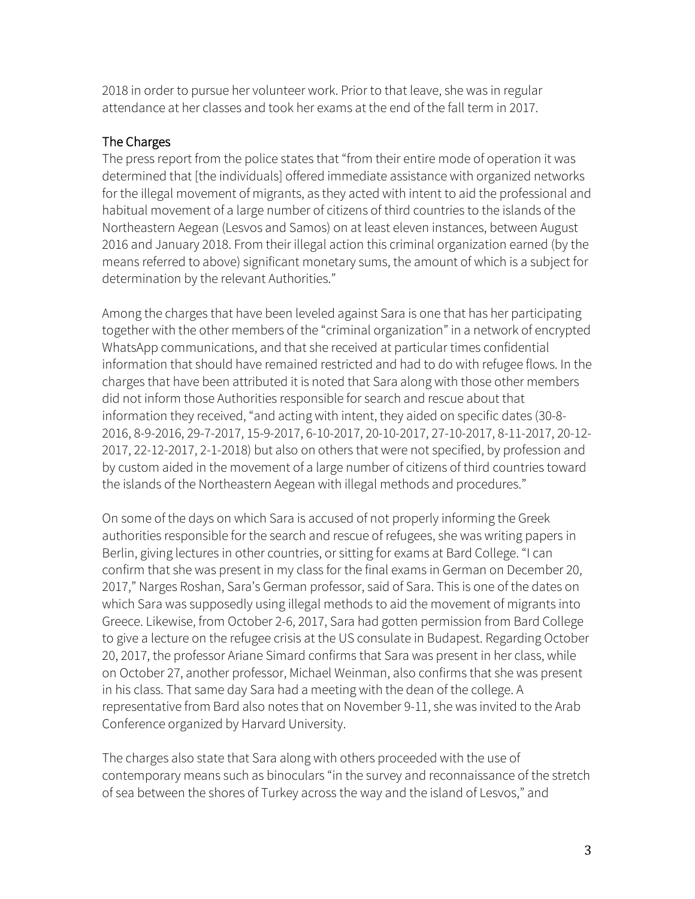2018 in order to pursue her volunteer work. Prior to that leave, she was in regular attendance at her classes and took her exams at the end of the fall term in 2017.

#### The Charges

The press report from the police states that "from their entire mode of operation it was determined that [the individuals] offered immediate assistance with organized networks for the illegal movement of migrants, as they acted with intent to aid the professional and habitual movement of a large number of citizens of third countries to the islands of the Northeastern Aegean (Lesvos and Samos) on at least eleven instances, between August 2016 and January 2018. From their illegal action this criminal organization earned (by the means referred to above) significant monetary sums, the amount of which is a subject for determination by the relevant Authorities."

Among the charges that have been leveled against Sara is one that has her participating together with the other members of the "criminal organization" in a network of encrypted WhatsApp communications, and that she received at particular times confidential information that should have remained restricted and had to do with refugee flows. In the charges that have been attributed it is noted that Sara along with those other members did not inform those Authorities responsible for search and rescue about that information they received, "and acting with intent, they aided on specific dates (30-8- 2016, 8-9-2016, 29-7-2017, 15-9-2017, 6-10-2017, 20-10-2017, 27-10-2017, 8-11-2017, 20-12- 2017, 22-12-2017, 2-1-2018) but also on others that were not specified, by profession and by custom aided in the movement of a large number of citizens of third countries toward the islands of the Northeastern Aegean with illegal methods and procedures."

On some of the days on which Sara is accused of not properly informing the Greek authorities responsible for the search and rescue of refugees, she was writing papers in Berlin, giving lectures in other countries, or sitting for exams at Bard College. "I can confirm that she was present in my class for the final exams in German on December 20, 2017," Narges Roshan, Sara's German professor, said of Sara. This is one of the dates on which Sara was supposedly using illegal methods to aid the movement of migrants into Greece. Likewise, from October 2-6, 2017, Sara had gotten permission from Bard College to give a lecture on the refugee crisis at the US consulate in Budapest. Regarding October 20, 2017, the professor Ariane Simard confirms that Sara was present in her class, while on October 27, another professor, Michael Weinman, also confirms that she was present in his class. That same day Sara had a meeting with the dean of the college. A representative from Bard also notes that on November 9-11, she was invited to the Arab Conference organized by Harvard University.

The charges also state that Sara along with others proceeded with the use of contemporary means such as binoculars "in the survey and reconnaissance of the stretch of sea between the shores of Turkey across the way and the island of Lesvos," and